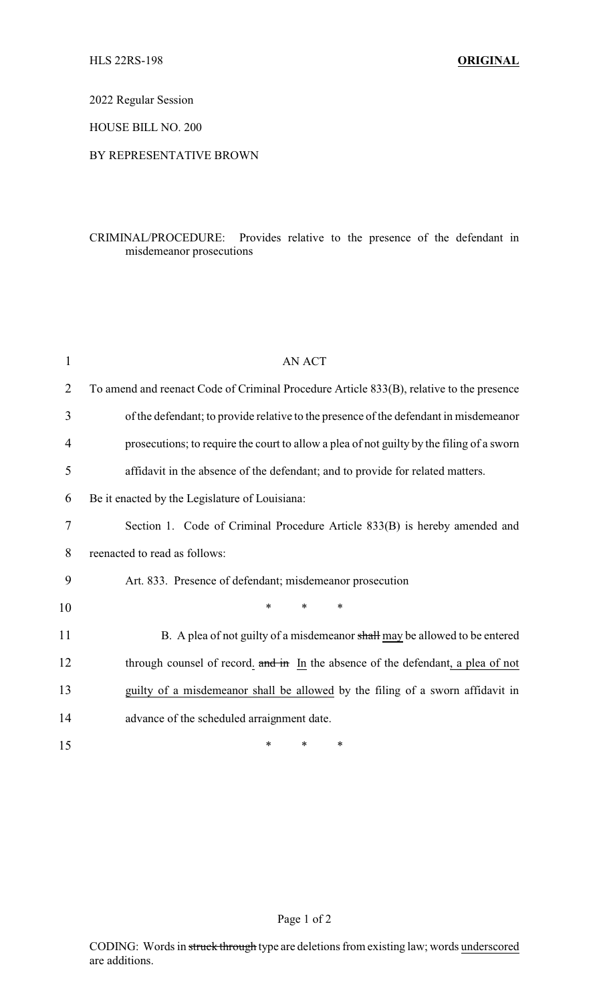2022 Regular Session

HOUSE BILL NO. 200

## BY REPRESENTATIVE BROWN

## CRIMINAL/PROCEDURE: Provides relative to the presence of the defendant in misdemeanor prosecutions

| $\mathbf{1}$   | AN ACT                                                                                    |
|----------------|-------------------------------------------------------------------------------------------|
| $\overline{2}$ | To amend and reenact Code of Criminal Procedure Article 833(B), relative to the presence  |
| 3              | of the defendant; to provide relative to the presence of the defendant in misdemeanor     |
| 4              | prosecutions; to require the court to allow a plea of not guilty by the filing of a sworn |
| 5              | affidavit in the absence of the defendant; and to provide for related matters.            |
| 6              | Be it enacted by the Legislature of Louisiana:                                            |
| 7              | Section 1. Code of Criminal Procedure Article 833(B) is hereby amended and                |
| 8              | reenacted to read as follows:                                                             |
| 9              | Art. 833. Presence of defendant; misdemeanor prosecution                                  |
| 10             | $\ast$<br>$\ast$<br>$\ast$                                                                |
| 11             | B. A plea of not guilty of a misdemeanor shall may be allowed to be entered               |
| 12             | through counsel of record. and in In the absence of the defendant, a plea of not          |
| 13             | guilty of a misdemeanor shall be allowed by the filing of a sworn affidavit in            |
| 14             | advance of the scheduled arraignment date.                                                |
| 15             | *<br>*<br>∗                                                                               |